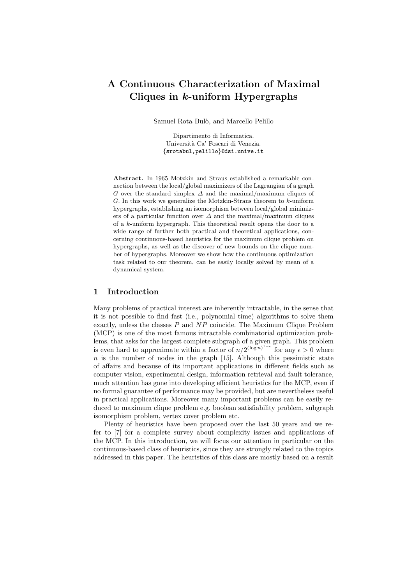# A Continuous Characterization of Maximal Cliques in  $k$ -uniform Hypergraphs

Samuel Rota Bulò, and Marcello Pelillo

Dipartimento di Informatica. Università Ca' Foscari di Venezia. {srotabul,pelillo}@dsi.unive.it

Abstract. In 1965 Motzkin and Straus established a remarkable connection between the local/global maximizers of the Lagrangian of a graph G over the standard simplex  $\Delta$  and the maximal/maximum cliques of  $G$ . In this work we generalize the Motzkin-Straus theorem to  $k$ -uniform hypergraphs, establishing an isomorphism between local/global minimizers of a particular function over  $\Delta$  and the maximal/maximum cliques of a k-uniform hypergraph. This theoretical result opens the door to a wide range of further both practical and theoretical applications, concerning continuous-based heuristics for the maximum clique problem on hypergraphs, as well as the discover of new bounds on the clique number of hypergraphs. Moreover we show how the continuous optimization task related to our theorem, can be easily locally solved by mean of a dynamical system.

#### 1 Introduction

Many problems of practical interest are inherently intractable, in the sense that it is not possible to find fast (i.e., polynomial time) algorithms to solve them exactly, unless the classes  $P$  and  $NP$  coincide. The Maximum Clique Problem (MCP) is one of the most famous intractable combinatorial optimization problems, that asks for the largest complete subgraph of a given graph. This problem is even hard to approximate within a factor of  $n/2^{(\log n)^{1-\epsilon}}$  for any  $\epsilon > 0$  where  $n$  is the number of nodes in the graph [15]. Although this pessimistic state of affairs and because of its important applications in different fields such as computer vision, experimental design, information retrieval and fault tolerance, much attention has gone into developing efficient heuristics for the MCP, even if no formal guarantee of performance may be provided, but are nevertheless useful in practical applications. Moreover many important problems can be easily reduced to maximum clique problem e.g. boolean satisfiability problem, subgraph isomorphism problem, vertex cover problem etc.

Plenty of heuristics have been proposed over the last 50 years and we refer to [7] for a complete survey about complexity issues and applications of the MCP. In this introduction, we will focus our attention in particular on the continuous-based class of heuristics, since they are strongly related to the topics addressed in this paper. The heuristics of this class are mostly based on a result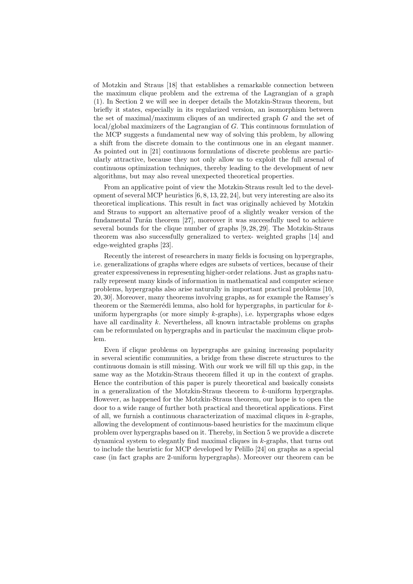of Motzkin and Straus [18] that establishes a remarkable connection between the maximum clique problem and the extrema of the Lagrangian of a graph (1). In Section 2 we will see in deeper details the Motzkin-Straus theorem, but briefly it states, especially in its regularized version, an isomorphism between the set of maximal/maximum cliques of an undirected graph G and the set of local/global maximizers of the Lagrangian of G. This continuous formulation of the MCP suggests a fundamental new way of solving this problem, by allowing a shift from the discrete domain to the continuous one in an elegant manner. As pointed out in [21] continuous formulations of discrete problems are particularly attractive, because they not only allow us to exploit the full arsenal of continuous optimization techniques, thereby leading to the development of new algorithms, but may also reveal unexpected theoretical properties.

From an applicative point of view the Motzkin-Straus result led to the development of several MCP heuristics  $[6, 8, 13, 22, 24]$ , but very interesting are also its theoretical implications. This result in fact was originally achieved by Motzkin and Straus to support an alternative proof of a slightly weaker version of the fundamental Turán theorem  $[27]$ , moreover it was successfully used to achieve several bounds for the clique number of graphs [9, 28, 29]. The Motzkin-Straus theorem was also successfully generalized to vertex- weighted graphs [14] and edge-weighted graphs [23].

Recently the interest of researchers in many fields is focusing on hypergraphs, i.e. generalizations of graphs where edges are subsets of vertices, because of their greater expressiveness in representing higher-order relations. Just as graphs naturally represent many kinds of information in mathematical and computer science problems, hypergraphs also arise naturally in important practical problems [10, 20, 30]. Moreover, many theorems involving graphs, as for example the Ramsey's theorem or the Szemerédi lemma, also hold for hypergraphs, in particular for  $k$ uniform hypergraphs (or more simply  $k$ -graphs), i.e. hypergraphs whose edges have all cardinality  $k$ . Nevertheless, all known intractable problems on graphs can be reformulated on hypergraphs and in particular the maximum clique problem.

Even if clique problems on hypergraphs are gaining increasing popularity in several scientific communities, a bridge from these discrete structures to the continuous domain is still missing. With our work we will fill up this gap, in the same way as the Motzkin-Straus theorem filled it up in the context of graphs. Hence the contribution of this paper is purely theoretical and basically consists in a generalization of the Motzkin-Straus theorem to k-uniform hypergraphs. However, as happened for the Motzkin-Straus theorem, our hope is to open the door to a wide range of further both practical and theoretical applications. First of all, we furnish a continuous characterization of maximal cliques in  $k$ -graphs, allowing the development of continuous-based heuristics for the maximum clique problem over hypergraphs based on it. Thereby, in Section 5 we provide a discrete dynamical system to elegantly find maximal cliques in k-graphs, that turns out to include the heuristic for MCP developed by Pelillo [24] on graphs as a special case (in fact graphs are 2-uniform hypergraphs). Moreover our theorem can be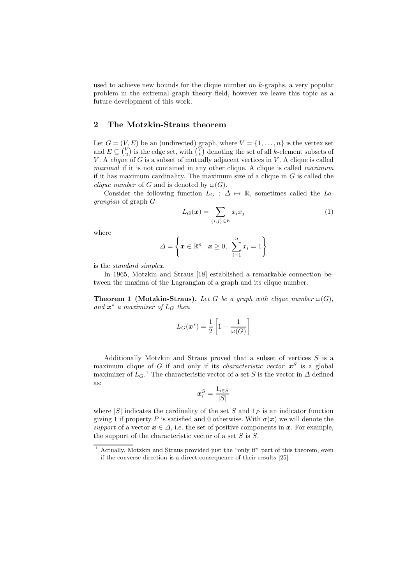used to achieve new bounds for the clique number on  $k$ -graphs, a very popular problem in the extremal graph theory field, however we leave this topic as a future development of this work.

# 2 The Motzkin-Straus theorem

Let  $G = (V, E)$  be an (undirected) graph, where  $V = \{1, \ldots, n\}$  is the vertex set and  $E \subseteq {V \choose 2}$  is the edge set, with  ${V \choose k}$  denoting the set of all k-element subsets of V. A clique of  $G$  is a subset of mutually adjacent vertices in  $V$ . A clique is called maximal if it is not contained in any other clique. A clique is called maximum if it has maximum cardinality. The maximum size of a clique in G is called the *clique number* of G and is denoted by  $\omega(G)$ .

Consider the following function  $L_G$  :  $\Delta \mapsto \mathbb{R}$ , sometimes called the Lagrangian of graph G

$$
L_G(\boldsymbol{x}) = \sum_{\{i,j\} \in E} x_i x_j \tag{1}
$$

where

$$
\Delta = \left\{ \boldsymbol{x} \in \mathbb{R}^n : \boldsymbol{x} \geq 0, \ \sum_{i=1}^n x_i = 1 \right\}
$$

is the standard simplex.

In 1965, Motzkin and Straus [18] established a remarkable connection between the maxima of the Lagrangian of a graph and its clique number.

**Theorem 1 (Motzkin-Straus).** Let G be a graph with clique number  $\omega(G)$ , and  $x^*$  a maximizer of  $L_G$  then

$$
L_G(\boldsymbol{x}^*) = \frac{1}{2} \left[ 1 - \frac{1}{\omega(G)} \right]
$$

Additionally Motzkin and Straus proved that a subset of vertices  $S$  is a maximum clique of G if and only if its *characteristic vector*  $x^S$  is a global maximizer of  $L_G$ .<sup>1</sup> The characteristic vector of a set S is the vector in  $\Delta$  defined as:

$$
\boldsymbol{x}_i^S = \frac{\boldsymbol{1}_{i \in S}}{|S|}
$$

where  $|S|$  indicates the cardinality of the set S and  $1_P$  is an indicator function giving 1 if property P is satisfied and 0 otherwise. With  $\sigma(x)$  we will denote the support of a vector  $x \in \Delta$ , i.e. the set of positive components in x. For example, the support of the characteristic vector of a set  $S$  is  $S$ .

<sup>&</sup>lt;sup>1</sup> Actually, Motzkin and Straus provided just the "only if" part of this theorem, even if the converse direction is a direct consequence of their results [25].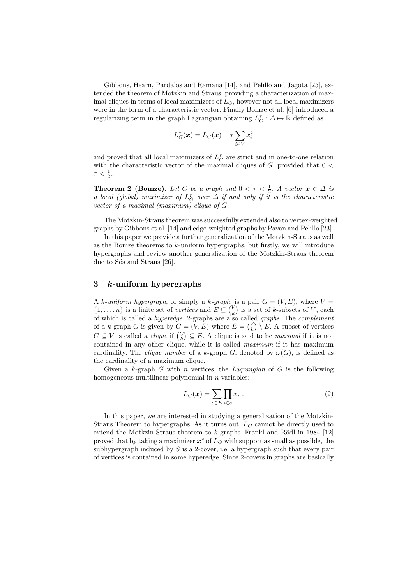Gibbons, Hearn, Pardalos and Ramana [14], and Pelillo and Jagota [25], extended the theorem of Motzkin and Straus, providing a characterization of maximal cliques in terms of local maximizers of  $L_G$ , however not all local maximizers were in the form of a characteristic vector. Finally Bomze et al. [6] introduced a regularizing term in the graph Lagrangian obtaining  $L_G^{\tau} : \Delta \mapsto \mathbb{R}$  defined as

$$
L_G^\tau(\boldsymbol{x}) = L_G(\boldsymbol{x}) + \tau \sum_{i \in V} x_i^2
$$

and proved that all local maximizers of  $L_G^{\tau}$  are strict and in one-to-one relation with the characteristic vector of the maximal cliques of  $G$ , provided that  $0 <$  $\tau < \frac{1}{2}$ .

**Theorem 2 (Bomze).** Let G be a graph and  $0 < \tau < \frac{1}{2}$ . A vector  $x \in \Delta$  is a local (global) maximizer of  $L_G^{\tau}$  over  $\Delta$  if and only if it is the characteristic vector of a maximal (maximum) clique of  $G$ .

The Motzkin-Straus theorem was successfully extended also to vertex-weighted graphs by Gibbons et al. [14] and edge-weighted graphs by Pavan and Pelillo [23].

In this paper we provide a further generalization of the Motzkin-Straus as well as the Bomze theorems to k-uniform hypergraphs, but firstly, we will introduce hypergraphs and review another generalization of the Motzkin-Straus theorem due to Sós and Straus [26].

# 3 k-uniform hypergraphs

A k-uniform hypergraph, or simply a k-graph, is a pair  $G = (V, E)$ , where  $V =$  $\{1, \ldots, n\}$  is a finite set of *vertices* and  $E \subseteq {V \choose k}$  is a set of *k*-subsets of *V*, each of which is called a hyperedge. 2-graphs are also called graphs. The complement of a k-graph G is given by  $\bar{G} = (V, \bar{E})$  where  $\bar{E} = {V \choose k} \setminus E$ . A subset of vertices  $C \subseteq V$  is called a *clique* if  $\binom{C}{k} \subseteq E$ . A clique is said to be *maximal* if it is not contained in any other clique, while it is called maximum if it has maximum cardinality. The *clique number* of a k-graph G, denoted by  $\omega(G)$ , is defined as the cardinality of a maximum clique.

Given a k-graph G with n vertices, the Lagrangian of G is the following homogeneous multilinear polynomial in  $n$  variables:

$$
L_G(\boldsymbol{x}) = \sum_{e \in E} \prod_{i \in e} x_i \ . \tag{2}
$$

In this paper, we are interested in studying a generalization of the Motzkin-Straus Theorem to hypergraphs. As it turns out,  $L_G$  cannot be directly used to extend the Motkzin-Straus theorem to  $k$ -graphs. Frankl and Rödl in 1984 [12] proved that by taking a maximizer  $x^*$  of  $L_G$  with support as small as possible, the subhypergraph induced by  $S$  is a 2-cover, i.e. a hypergraph such that every pair of vertices is contained in some hyperedge. Since 2-covers in graphs are basically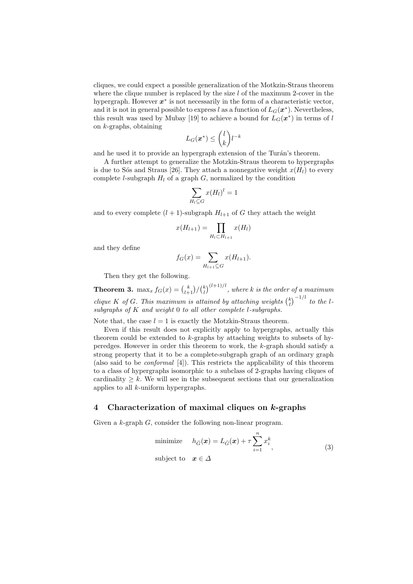cliques, we could expect a possible generalization of the Motkzin-Straus theorem where the clique number is replaced by the size  $l$  of the maximum 2-cover in the hypergraph. However  $x^*$  is not necessarily in the form of a characteristic vector, and it is not in general possible to express l as a function of  $L_G(\boldsymbol{x}^*)$ . Nevertheless, this result was used by Mubay [19] to achieve a bound for  $L_G(\boldsymbol{x}^*)$  in terms of l on  $k$ -graphs, obtaining

$$
L_G(\boldsymbol{x}^*) \leq {l \choose k} l^{-k}
$$

and he used it to provide an hypergraph extension of the Turán's theorem.

A further attempt to generalize the Motzkin-Straus theorem to hypergraphs is due to S<sup>os</sup> and Straus [26]. They attach a nonnegative weight  $x(H_l)$  to every complete *l*-subgraph  $H_l$  of a graph  $G$ , normalized by the condition

$$
\sum_{H_l \subseteq G} x(H_l)^l = 1
$$

and to every complete  $(l + 1)$ -subgraph  $H_{l+1}$  of G they attach the weight

$$
x(H_{l+1}) = \prod_{H_l \subset H_{l+1}} x(H_l)
$$

and they define

$$
f_G(x) = \sum_{H_{l+1} \subseteq G} x(H_{l+1}).
$$

Then they get the following.

**Theorem 3.**  $\max_x f_G(x) = \binom{k}{l+1} / \binom{k}{l}^{(l+1)/l}$ , where k is the order of a maximum clique K of G. This maximum is attained by attaching weights  ${k \choose l}^{-1/l}$  to the lsubgraphs of  $K$  and weight  $0$  to all other complete l-subgraphs.

Note that, the case  $l = 1$  is exactly the Motzkin-Straus theorem.

Even if this result does not explicitly apply to hypergraphs, actually this theorem could be extended to k-graphs by attaching weights to subsets of hyperedges. However in order this theorem to work, the k-graph should satisfy a strong property that it to be a complete-subgraph graph of an ordinary graph (also said to be conformal [4]). This restricts the applicability of this theorem to a class of hypergraphs isomorphic to a subclass of 2-graphs having cliques of cardinality  $\geq k$ . We will see in the subsequent sections that our generalization applies to all k-uniform hypergraphs.

#### 4 Characterization of maximal cliques on k-graphs

Given a k-graph G, consider the following non-linear program.

minimize 
$$
h_{\bar{G}}(x) = L_{\bar{G}}(x) + \tau \sum_{i=1}^{n} x_i^k
$$
,  
subject to  $x \in \Delta$  (3)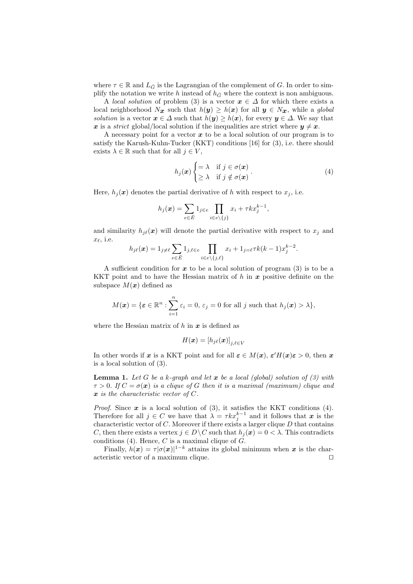where  $\tau \in \mathbb{R}$  and  $L_{\bar{G}}$  is the Lagrangian of the complement of G. In order to simplify the notation we write h instead of  $h_{\bar{G}}$  where the context is non ambiguous.

A local solution of problem (3) is a vector  $x \in \Delta$  for which there exists a local neighborhood  $N_x$  such that  $h(y) \geq h(x)$  for all  $y \in N_x$ , while a global solution is a vector  $x \in \Delta$  such that  $h(y) \geq h(x)$ , for every  $y \in \Delta$ . We say that x is a *strict* global/local solution if the inequalities are strict where  $y \neq x$ .

A necessary point for a vector  $x$  to be a local solution of our program is to satisfy the Karush-Kuhn-Tucker (KKT) conditions [16] for (3), i.e. there should exists  $\lambda \in \mathbb{R}$  such that for all  $j \in V$ ,

$$
h_j(\boldsymbol{x}) \begin{cases} = \lambda & \text{if } j \in \sigma(\boldsymbol{x}) \\ \geq \lambda & \text{if } j \notin \sigma(\boldsymbol{x}) \end{cases} . \tag{4}
$$

Here,  $h_j(\boldsymbol{x})$  denotes the partial derivative of h with respect to  $x_j$ , i.e.

$$
h_j(\boldsymbol{x}) = \sum_{e \in E} 1_{j \in e} \prod_{i \in e \setminus \{j\}} x_i + \tau k x_j^{k-1},
$$

and similarity  $h_{i\ell}(x)$  will denote the partial derivative with respect to  $x_i$  and  $x_{\ell}$ , i.e.

$$
h_{j\ell}(\boldsymbol{x}) = 1_{j \neq \ell} \sum_{e \in \overline{E}} 1_{j,\ell \in e} \prod_{i \in e \setminus \{j,\ell\}} x_i + 1_{j=\ell} \tau k(k-1) x_j^{k-2}.
$$

A sufficient condition for  $x$  to be a local solution of program (3) is to be a KKT point and to have the Hessian matrix of h in  $x$  positive definite on the subspace  $M(x)$  defined as

$$
M(\boldsymbol{x}) = \{\boldsymbol{\varepsilon} \in \mathbb{R}^n : \sum_{i=1}^n \varepsilon_i = 0, \, \varepsilon_j = 0 \text{ for all } j \text{ such that } h_j(\boldsymbol{x}) > \lambda\},
$$

where the Hessian matrix of h in  $x$  is defined as

$$
H(\boldsymbol{x}) = \left[h_{j\ell}(\boldsymbol{x})\right]_{j,\ell \in V}
$$

In other words if x is a KKT point and for all  $\varepsilon \in M(x)$ ,  $\varepsilon' H(x) \varepsilon > 0$ , then x is a local solution of (3).

**Lemma 1.** Let G be a k-graph and let  $x$  be a local (global) solution of (3) with  $\tau > 0$ . If  $C = \sigma(x)$  is a clique of G then it is a maximal (maximum) clique and  $x$  is the characteristic vector of  $C$ .

*Proof.* Since  $x$  is a local solution of (3), it satisfies the KKT conditions (4). Therefore for all  $j \in C$  we have that  $\lambda = \tau k x_j^{k-1}$  and it follows that x is the characteristic vector of  $C$ . Moreover if there exists a larger clique  $D$  that contains C, then there exists a vertex  $j \in D \backslash C$  such that  $h_j(x) = 0 \langle \lambda$ . This contradicts conditions (4). Hence,  $C$  is a maximal clique of  $G$ .

Finally,  $h(x) = \tau |\sigma(x)|^{1-k}$  attains its global minimum when x is the characteristic vector of a maximum clique. □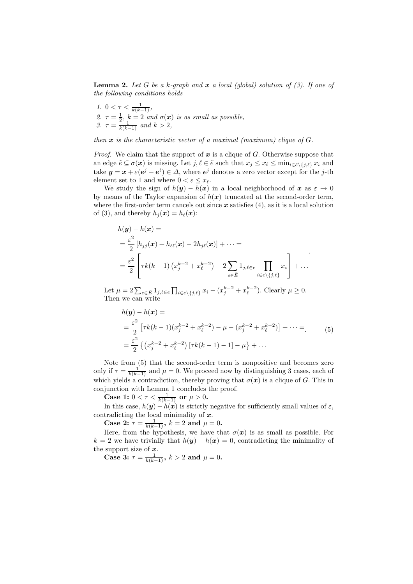**Lemma 2.** Let G be a k-graph and  $x$  a local (global) solution of (3). If one of the following conditions holds

\n- 1. 
$$
0 < \tau < \frac{1}{k(k-1)},
$$
\n- 2.  $\tau = \frac{1}{2}$ ,  $k = 2$  and  $\sigma(x)$  is as small as possible,
\n- 3.  $\tau = \frac{1}{k(k-1)}$  and  $k > 2$ ,
\n

then  $x$  is the characteristic vector of a maximal (maximum) clique of  $G$ .

*Proof.* We claim that the support of  $x$  is a clique of  $G$ . Otherwise suppose that an edge  $\tilde{e} \subseteq \sigma(\boldsymbol{x})$  is missing. Let  $j, \ell \in \tilde{e}$  such that  $x_j \leq x_\ell \leq \min_{i \in \tilde{e} \setminus \{j,\ell\}} x_i$  and take  $y = x + \varepsilon (e^j - e^{\ell}) \in \Delta$ , where  $e^j$  denotes a zero vector except for the j-th element set to 1 and where  $0 < \varepsilon \leq x_{\ell}$ .

We study the sign of  $h(\mathbf{y}) - h(\mathbf{x})$  in a local neighborhood of  $\mathbf{x}$  as  $\varepsilon \to 0$ by means of the Taylor expansion of  $h(x)$  truncated at the second-order term, where the first-order term cancels out since  $x$  satisfies  $(4)$ , as it is a local solution of (3), and thereby  $h_i(\boldsymbol{x}) = h_{\ell}(\boldsymbol{x})$ :

$$
h(\mathbf{y}) - h(\mathbf{x}) =
$$
  
=  $\frac{\varepsilon^2}{2} [h_{jj}(\mathbf{x}) + h_{\ell\ell}(\mathbf{x}) - 2h_{j\ell}(\mathbf{x})] + \cdots =$   
=  $\frac{\varepsilon^2}{2} \left[ \tau k(k-1) \left( x_j^{k-2} + x_\ell^{k-2} \right) - 2 \sum_{e \in \overline{E}} 1_{j,\ell \in e} \prod_{i \in e \setminus \{j,\ell\}} x_i \right] + \cdots$ 

Let  $\mu = 2 \sum_{e \in \bar{E}} 1_{j, \ell \in e} \prod_{i \in e \setminus \{j, \ell\}} x_i - (x_j^{k-2} + x_\ell^{k-2})$ . Clearly  $\mu \ge 0$ . Then we can write

$$
h(\mathbf{y}) - h(\mathbf{x}) =
$$
  
=  $\frac{\varepsilon^2}{2} \left[ \tau k(k-1)(x_j^{k-2} + x_\ell^{k-2}) - \mu - (x_j^{k-2} + x_\ell^{k-2}) \right] + \cdots =$  (5)  
=  $\frac{\varepsilon^2}{2} \left\{ (x_j^{k-2} + x_\ell^{k-2}) \left[ \tau k(k-1) - 1 \right] - \mu \right\} + \cdots$ 

Note from (5) that the second-order term is nonpositive and becomes zero only if  $\tau = \frac{1}{k(k-1)}$  and  $\mu = 0$ . We proceed now by distinguishing 3 cases, each of which yields a contradiction, thereby proving that  $\sigma(x)$  is a clique of G. This in conjunction with Lemma 1 concludes the proof.

**Case 1:**  $0 < \tau < \frac{1}{k(k-1)}$  or  $\mu > 0$ .

In this case,  $h(\mathbf{y}) - h(\mathbf{x})$  is strictly negative for sufficiently small values of  $\varepsilon$ , contradicting the local minimality of  $x$ .

Case 2:  $\tau = \frac{1}{k(k-1)}, k = 2 \text{ and } \mu = 0.$ 

Here, from the hypothesis, we have that  $\sigma(x)$  is as small as possible. For  $k = 2$  we have trivially that  $h(\mathbf{y}) - h(\mathbf{x}) = 0$ , contradicting the minimality of the support size of  $x$ .

Case 3:  $\tau = \frac{1}{k(k-1)}, k > 2$  and  $\mu = 0$ .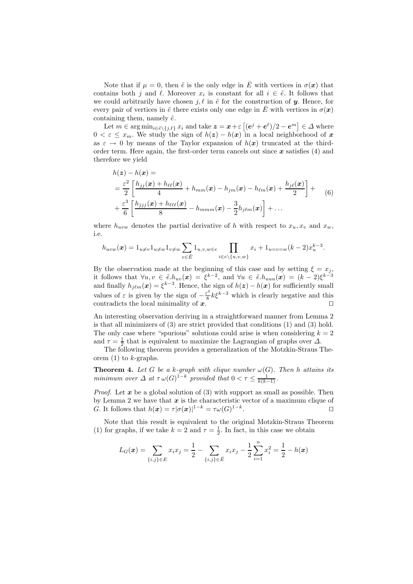Note that if  $\mu = 0$ , then  $\tilde{e}$  is the only edge in  $\bar{E}$  with vertices in  $\sigma(x)$  that contains both j and  $\ell$ . Moreover  $x_i$  is constant for all  $i \in \tilde{e}$ . It follows that we could arbitrarily have chosen  $j, \ell$  in  $\tilde{e}$  for the construction of  $y$ . Hence, for every pair of vertices in  $\tilde{e}$  there exists only one edge in  $\bar{E}$  with vertices in  $\sigma(x)$ containing them, namely  $\tilde{e}$ .

Let  $m \in \arg \min_{i \in \tilde{e} \setminus \{j,\ell\}} x_i$  and take  $\boldsymbol{z} = \boldsymbol{x} + \varepsilon \left[ (\boldsymbol{e}^j + \boldsymbol{e}^\ell)/2 - \boldsymbol{e}^m \right] \in \Delta$  where  $0 < \varepsilon \leq x_m$ . We study the sign of  $h(z) - h(x)$  in a local neighborhood of x as  $\varepsilon \to 0$  by means of the Taylor expansion of  $h(x)$  truncated at the thirdorder term. Here again, the first-order term cancels out since  $x$  satisfies (4) and therefore we yield

$$
h(\mathbf{z}) - h(\mathbf{x}) =
$$
  
=  $\frac{\varepsilon^2}{2} \left[ \frac{h_{jj}(\mathbf{x}) + h_{\ell\ell}(\mathbf{x})}{4} + h_{mm}(\mathbf{x}) - h_{jm}(\mathbf{x}) - h_{\ell m}(\mathbf{x}) + \frac{h_{j\ell}(\mathbf{x})}{2} \right] +$   
+  $\frac{\varepsilon^3}{6} \left[ \frac{h_{jjj}(\mathbf{x}) + h_{\ell\ell\ell}(\mathbf{x})}{8} - h_{mmm}(\mathbf{x}) - \frac{3}{2} h_{j\ell m}(\mathbf{x}) \right] + ...$  (6)

where  $h_{uvw}$  denotes the partial derivative of h with respect to  $x_u, x_v$  and  $x_w$ , i.e.

$$
h_{uvw}(\boldsymbol{x}) = 1_{u \neq v} 1_{u \neq w} 1_{v \neq w} \sum_{e \in \bar{E}} 1_{u,v,w \in e} \prod_{i \in e \setminus \{u,v,w\}} x_i + 1_{u=v=w} (k-2) x_u^{k-3}.
$$

By the observation made at the beginning of this case and by setting  $\xi = x_j$ , it follows that  $\forall u, v \in \tilde{e}.h_{uv}(x) = \xi^{k-2}$ , and  $\forall u \in \tilde{e}.h_{uuu}(x) = (k-2)\xi^{k-3}$ and finally  $h_{j\ell m}(x) = \xi^{k-3}$ . Hence, the sign of  $h(z) - h(x)$  for sufficiently small values of  $\varepsilon$  is given by the sign of  $-\frac{\varepsilon^3}{8}$  $\frac{\varepsilon^3}{8}k\xi^{k-3}$  which is clearly negative and this contradicts the local minimality of  $x$ . □

An interesting observation deriving in a straightforward manner from Lemma 2 is that all minimizers of  $(3)$  are strict provided that conditions  $(1)$  and  $(3)$  hold. The only case where "spurious" solutions could arise is when considering  $k = 2$ and  $\tau = \frac{1}{2}$  that is equivalent to maximize the Lagrangian of graphs over  $\Delta$ .

The following theorem provides a generalization of the Motzkin-Straus Theorem  $(1)$  to k-graphs.

**Theorem 4.** Let G be a k-graph with clique number  $\omega(G)$ . Then h attains its minimum over  $\Delta$  at  $\tau \omega(G)^{1-k}$  provided that  $0 < \tau \leq \frac{1}{k(k-1)}$ .

*Proof.* Let  $x$  be a global solution of (3) with support as small as possible. Then by Lemma 2 we have that  $x$  is the characteristic vector of a maximum clique of G. It follows that  $h(\boldsymbol{x}) = \tau |\sigma(\boldsymbol{x})|^{1-k} = \tau \omega(G)^{1-k}$ . ⊓⊔

Note that this result is equivalent to the original Motzkin-Straus Theorem (1) for graphs, if we take  $k = 2$  and  $\tau = \frac{1}{2}$ . In fact, in this case we obtain

$$
L_G(\boldsymbol{x}) = \sum_{\{i,j\} \in E} x_i x_j = \frac{1}{2} - \sum_{\{i,j\} \in \bar{E}} x_i x_j - \frac{1}{2} \sum_{i=1}^n x_i^2 = \frac{1}{2} - h(\boldsymbol{x})
$$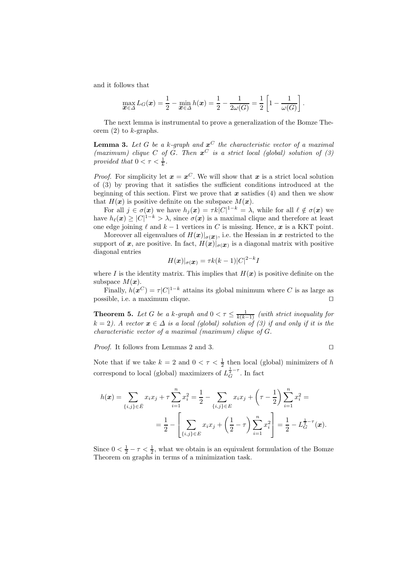and it follows that

$$
\max_{\boldsymbol{x}\in\Delta}L_G(\boldsymbol{x})=\frac{1}{2}-\min_{\boldsymbol{x}\in\Delta}h(\boldsymbol{x})=\frac{1}{2}-\frac{1}{2\omega(G)}=\frac{1}{2}\left[1-\frac{1}{\omega(G)}\right].
$$

The next lemma is instrumental to prove a generalization of the Bomze Theorem  $(2)$  to k-graphs.

**Lemma 3.** Let G be a k-graph and  $x^C$  the characteristic vector of a maximal (maximum) clique C of G. Then  $x^C$  is a strict local (global) solution of (3) provided that  $0 < \tau < \frac{1}{k}$ .

*Proof.* For simplicity let  $x = x^C$ . We will show that x is a strict local solution of (3) by proving that it satisfies the sufficient conditions introduced at the beginning of this section. First we prove that  $x$  satisfies (4) and then we show that  $H(\mathbf{x})$  is positive definite on the subspace  $M(\mathbf{x})$ .

For all  $j \in \sigma(\mathbf{x})$  we have  $h_j(\mathbf{x}) = \tau k |C|^{1-k} = \lambda$ , while for all  $\ell \notin \sigma(\mathbf{x})$  we have  $h_{\ell}(\boldsymbol{x}) \geq |C|^{1-k} > \lambda$ , since  $\sigma(\boldsymbol{x})$  is a maximal clique and therefore at least one edge joining  $\ell$  and  $k-1$  vertices in C is missing. Hence, x is a KKT point.

Moreover all eigenvalues of  $H(\boldsymbol{x})|_{\sigma(\boldsymbol{x})}$ , i.e. the Hessian in  $\boldsymbol{x}$  restricted to the support of  $x$ , are positive. In fact,  $H(x)|_{\sigma(x)}$  is a diagonal matrix with positive diagonal entries

$$
H(\boldsymbol{x})|_{\sigma(\boldsymbol{x})} = \tau k(k-1)|C|^{2-k}I
$$

where I is the identity matrix. This implies that  $H(x)$  is positive definite on the subspace  $M(\boldsymbol{x})$ .

Finally,  $h(\boldsymbol{x}^C) = \tau |C|^{1-k}$  attains its global minimum where C is as large as possible, i.e. a maximum clique. ⊓⊔

**Theorem 5.** Let G be a k-graph and  $0 < \tau \leq \frac{1}{k(k-1)}$  (with strict inequality for  $k = 2$ ). A vector  $x \in \Delta$  is a local (global) solution of (3) if and only if it is the characteristic vector of a maximal (maximum) clique of G.

*Proof.* It follows from Lemmas 2 and 3. □

Note that if we take  $k = 2$  and  $0 < \tau < \frac{1}{2}$  then local (global) minimizers of h correspond to local (global) maximizers of  $L_G^{\frac{1}{2}-\tau}$ . In fact

$$
h(\mathbf{x}) = \sum_{\{i,j\} \in \bar{E}} x_i x_j + \tau \sum_{i=1}^n x_i^2 = \frac{1}{2} - \sum_{\{i,j\} \in E} x_i x_j + \left(\tau - \frac{1}{2}\right) \sum_{i=1}^n x_i^2 =
$$
  
= 
$$
\frac{1}{2} - \left[ \sum_{\{i,j\} \in E} x_i x_j + \left(\frac{1}{2} - \tau\right) \sum_{i=1}^n x_i^2 \right] = \frac{1}{2} - L_G^{\frac{1}{2} - \tau}(\mathbf{x}).
$$

Since  $0 < \frac{1}{2} - \tau < \frac{1}{2}$ , what we obtain is an equivalent formulation of the Bomze Theorem on graphs in terms of a minimization task.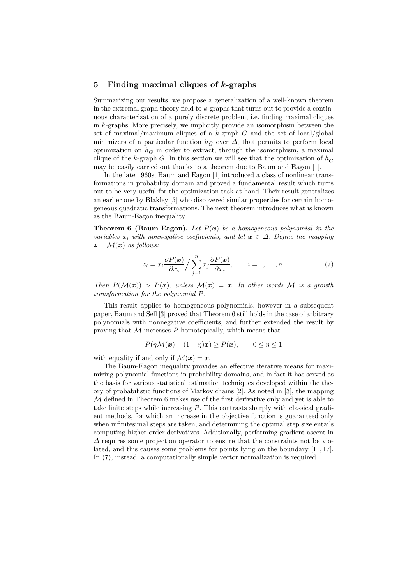#### 5 Finding maximal cliques of k-graphs

Summarizing our results, we propose a generalization of a well-known theorem in the extremal graph theory field to k-graphs that turns out to provide a continuous characterization of a purely discrete problem, i.e. finding maximal cliques in k-graphs. More precisely, we implicitly provide an isomorphism between the set of maximal/maximum cliques of a  $k$ -graph  $G$  and the set of local/global minimizers of a particular function  $h_{\bar{G}}$  over  $\Delta$ , that permits to perform local optimization on  $h_{\overline{G}}$  in order to extract, through the isomorphism, a maximal clique of the k-graph G. In this section we will see that the optimization of  $h_{\overline{G}}$ may be easily carried out thanks to a theorem due to Baum and Eagon [1].

In the late 1960s, Baum and Eagon [1] introduced a class of nonlinear transformations in probability domain and proved a fundamental result which turns out to be very useful for the optimization task at hand. Their result generalizes an earlier one by Blakley [5] who discovered similar properties for certain homogeneous quadratic transformations. The next theorem introduces what is known as the Baum-Eagon inequality.

**Theorem 6 (Baum-Eagon).** Let  $P(x)$  be a homogeneous polynomial in the variables  $x_i$  with nonnegative coefficients, and let  $x \in \Delta$ . Define the mapping  $z = \mathcal{M}(x)$  as follows:

$$
z_i = x_i \frac{\partial P(\boldsymbol{x})}{\partial x_i} / \sum_{j=1}^n x_j \frac{\partial P(\boldsymbol{x})}{\partial x_j}, \qquad i = 1, \dots, n. \tag{7}
$$

Then  $P(\mathcal{M}(x)) > P(x)$ , unless  $\mathcal{M}(x) = x$ . In other words M is a growth transformation for the polynomial P.

This result applies to homogeneous polynomials, however in a subsequent paper, Baum and Sell [3] proved that Theorem 6 still holds in the case of arbitrary polynomials with nonnegative coefficients, and further extended the result by proving that  $M$  increases  $P$  homotopically, which means that

$$
P(\eta \mathcal{M}(\boldsymbol{x}) + (1 - \eta)\boldsymbol{x}) \ge P(\boldsymbol{x}), \qquad 0 \le \eta \le 1
$$

with equality if and only if  $\mathcal{M}(x) = x$ .

The Baum-Eagon inequality provides an effective iterative means for maximizing polynomial functions in probability domains, and in fact it has served as the basis for various statistical estimation techniques developed within the theory of probabilistic functions of Markov chains [2]. As noted in [3], the mapping M defined in Theorem 6 makes use of the first derivative only and yet is able to take finite steps while increasing  $P$ . This contrasts sharply with classical gradient methods, for which an increase in the objective function is guaranteed only when infinitesimal steps are taken, and determining the optimal step size entails computing higher-order derivatives. Additionally, performing gradient ascent in  $\Delta$  requires some projection operator to ensure that the constraints not be violated, and this causes some problems for points lying on the boundary [11, 17]. In (7), instead, a computationally simple vector normalization is required.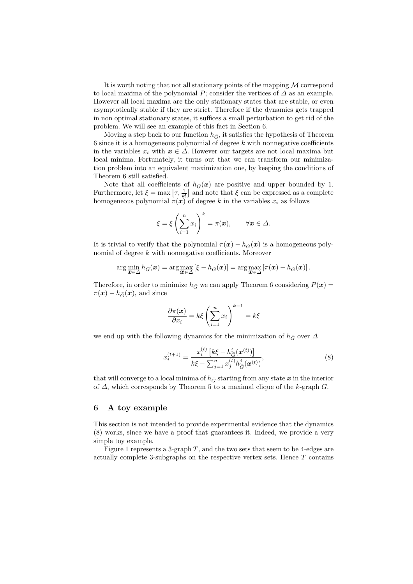It is worth noting that not all stationary points of the mapping  $\mathcal M$  correspond to local maxima of the polynomial P; consider the vertices of  $\Delta$  as an example. However all local maxima are the only stationary states that are stable, or even asymptotically stable if they are strict. Therefore if the dynamics gets trapped in non optimal stationary states, it suffices a small perturbation to get rid of the problem. We will see an example of this fact in Section 6.

Moving a step back to our function  $h_{\bar{G}}$ , it satisfies the hypothesis of Theorem  $6$  since it is a homogeneous polynomial of degree  $k$  with nonnegative coefficients in the variables  $x_i$  with  $x \in \Delta$ . However our targets are not local maxima but local minima. Fortunately, it turns out that we can transform our minimization problem into an equivalent maximization one, by keeping the conditions of Theorem 6 still satisfied.

Note that all coefficients of  $h_{\bar{G}}(x)$  are positive and upper bounded by 1. Furthermore, let  $\xi = \max \left[ \tau, \frac{1}{k!} \right]$  and note that  $\xi$  can be expressed as a complete homogeneous polynomial  $\pi(x)$  of degree k in the variables  $x_i$  as follows

$$
\xi = \xi \left(\sum_{i=1}^n x_i\right)^k = \pi(\boldsymbol{x}), \qquad \forall \boldsymbol{x} \in \Delta.
$$

It is trivial to verify that the polynomial  $\pi(x) - h_{\overline{G}}(x)$  is a homogeneous polynomial of degree k with nonnegative coefficients. Moreover

$$
\arg\min_{\boldsymbol{x}\in\Delta}h_{\bar{G}}(\boldsymbol{x})=\arg\max_{\boldsymbol{x}\in\Delta} \left[\xi-h_{\bar{G}}(\boldsymbol{x})\right]=\arg\max_{\boldsymbol{x}\in\Delta}\left[\pi(\boldsymbol{x})-h_{\bar{G}}(\boldsymbol{x})\right].
$$

Therefore, in order to minimize  $h_{\bar{G}}$  we can apply Theorem 6 considering  $P(x) =$  $\pi(\boldsymbol{x}) - h_{\bar{G}}(\boldsymbol{x})$ , and since

$$
\frac{\partial \pi(\boldsymbol{x})}{\partial x_i} = k\xi \left(\sum_{i=1}^n x_i\right)^{k-1} = k\xi
$$

we end up with the following dynamics for the minimization of  $h_{\bar{G}}$  over  $\Delta$ 

$$
x_i^{(t+1)} = \frac{x_i^{(t)} \left[ k\xi - h_{\bar{G}}^i(\boldsymbol{x}^{(t)}) \right]}{k\xi - \sum_{j=1}^n x_j^{(t)} h_{\bar{G}}^j(\boldsymbol{x}^{(t)})},\tag{8}
$$

that will converge to a local minima of  $h_{\bar{G}}$  starting from any state x in the interior of  $\Delta$ , which corresponds by Theorem 5 to a maximal clique of the k-graph G.

#### 6 A toy example

This section is not intended to provide experimental evidence that the dynamics (8) works, since we have a proof that guarantees it. Indeed, we provide a very simple toy example.

Figure 1 represents a 3-graph  $T$ , and the two sets that seem to be 4-edges are actually complete 3-subgraphs on the respective vertex sets. Hence  $T$  contains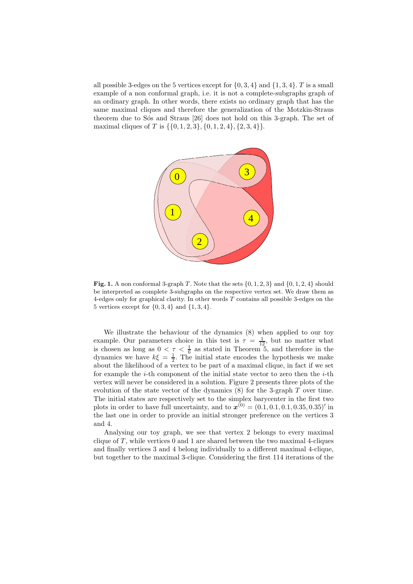all possible 3-edges on the 5 vertices except for  $\{0, 3, 4\}$  and  $\{1, 3, 4\}$ . T is a small example of a non conformal graph, i.e. it is not a complete-subgraphs graph of an ordinary graph. In other words, there exists no ordinary graph that has the same maximal cliques and therefore the generalization of the Motzkin-Straus theorem due to S<sup>os</sup> and Straus [26] does not hold on this 3-graph. The set of maximal cliques of T is  $\{\{0, 1, 2, 3\}, \{0, 1, 2, 4\}, \{2, 3, 4\}\}.$ 



Fig. 1. A non conformal 3-graph T. Note that the sets  $\{0, 1, 2, 3\}$  and  $\{0, 1, 2, 4\}$  should be interpreted as complete 3-subgraphs on the respective vertex set. We draw them as 4-edges only for graphical clarity. In other words T contains all possible 3-edges on the 5 vertices except for  $\{0, 3, 4\}$  and  $\{1, 3, 4\}.$ 

We illustrate the behaviour of the dynamics (8) when applied to our toy example. Our parameters choice in this test is  $\tau = \frac{1}{12}$ , but no matter what is chosen as long as  $0 < \tau < \frac{1}{6}$  as stated in Theorem 5, and therefore in the dynamics we have  $k\xi = \frac{1}{2}$ . The initial state encodes the hypothesis we make about the likelihood of a vertex to be part of a maximal clique, in fact if we set for example the *i*-th component of the initial state vector to zero then the *i*-th vertex will never be considered in a solution. Figure 2 presents three plots of the evolution of the state vector of the dynamics  $(8)$  for the 3-graph  $T$  over time. The initial states are respectively set to the simplex barycenter in the first two plots in order to have full uncertainty, and to  $x^{(0)} = (0.1, 0.1, 0.1, 0.35, 0.35)'$  in the last one in order to provide an initial stronger preference on the vertices 3 and 4.

Analysing our toy graph, we see that vertex 2 belongs to every maximal clique of  $T$ , while vertices 0 and 1 are shared between the two maximal 4-cliques and finally vertices 3 and 4 belong individually to a different maximal 4-clique, but together to the maximal 3-clique. Considering the first 114 iterations of the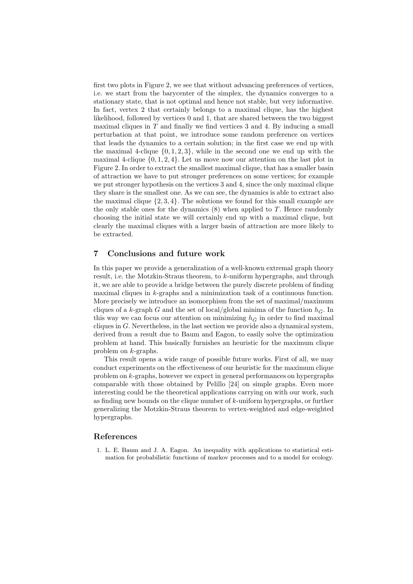first two plots in Figure 2, we see that without advancing preferences of vertices, i.e. we start from the barycenter of the simplex, the dynamics converges to a stationary state, that is not optimal and hence not stable, but very informative. In fact, vertex 2 that certainly belongs to a maximal clique, has the highest likelihood, followed by vertices 0 and 1, that are shared between the two biggest maximal cliques in  $T$  and finally we find vertices 3 and 4. By inducing a small perturbation at that point, we introduce some random preference on vertices that leads the dynamics to a certain solution; in the first case we end up with the maximal 4-clique  $\{0, 1, 2, 3\}$ , while in the second one we end up with the maximal 4-clique  $\{0, 1, 2, 4\}$ . Let us move now our attention on the last plot in Figure 2. In order to extract the smallest maximal clique, that has a smaller basin of attraction we have to put stronger preferences on some vertices; for example we put stronger hypothesis on the vertices 3 and 4, since the only maximal clique they share is the smallest one. As we can see, the dynamics is able to extract also the maximal clique  $\{2, 3, 4\}$ . The solutions we found for this small example are the only stable ones for the dynamics  $(8)$  when applied to T. Hence randomly choosing the initial state we will certainly end up with a maximal clique, but clearly the maximal cliques with a larger basin of attraction are more likely to be extracted.

## 7 Conclusions and future work

In this paper we provide a generalization of a well-known extremal graph theory result, i.e. the Motzkin-Straus theorem, to k-uniform hypergraphs, and through it, we are able to provide a bridge between the purely discrete problem of finding maximal cliques in k-graphs and a minimization task of a continuous function. More precisely we introduce an isomorphism from the set of maximal/maximum cliques of a k-graph G and the set of local/global minima of the function  $h_{\bar{G}}$ . In this way we can focus our attention on minimizing  $h_{\bar{G}}$  in order to find maximal cliques in G. Nevertheless, in the last section we provide also a dynamical system, derived from a result due to Baum and Eagon, to easily solve the optimization problem at hand. This basically furnishes an heuristic for the maximum clique problem on k-graphs.

This result opens a wide range of possible future works. First of all, we may conduct experiments on the effectiveness of our heuristic for the maximum clique problem on k-graphs, however we expect in general performances on hypergraphs comparable with those obtained by Pelillo [24] on simple graphs. Even more interesting could be the theoretical applications carrying on with our work, such as finding new bounds on the clique number of k-uniform hypergraphs, or further generalizing the Motzkin-Straus theorem to vertex-weighted and edge-weighted hypergraphs.

## References

1. L. E. Baum and J. A. Eagon. An inequality with applications to statistical estimation for probabilistic functions of markov processes and to a model for ecology.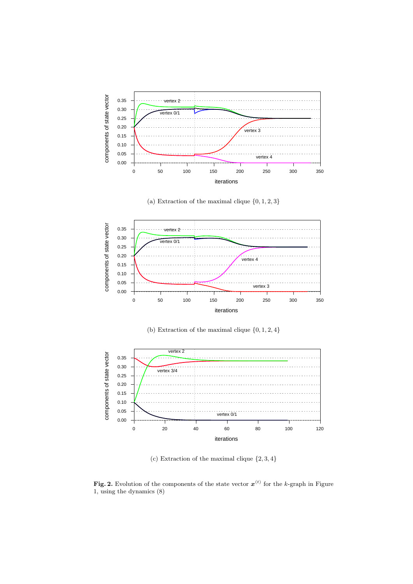





(b) Extraction of the maximal clique  $\{0, 1, 2, 4\}$ 



(c) Extraction of the maximal clique  $\{2, 3, 4\}$ 

Fig. 2. Evolution of the components of the state vector  $x^{(t)}$  for the k-graph in Figure 1, using the dynamics (8)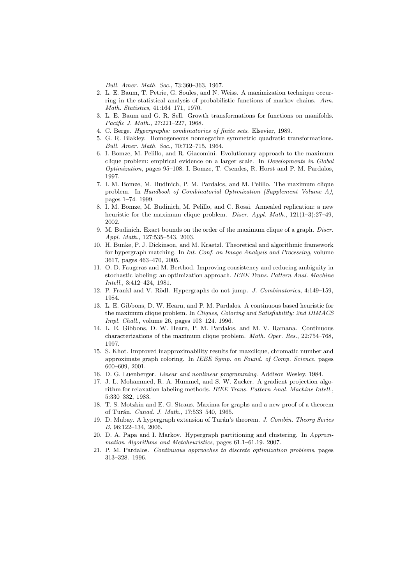Bull. Amer. Math. Soc., 73:360–363, 1967.

- 2. L. E. Baum, T. Petrie, G. Soules, and N. Weiss. A maximization technique occurring in the statistical analysis of probabilistic functions of markov chains. Ann. Math. Statistics, 41:164–171, 1970.
- 3. L. E. Baum and G. R. Sell. Growth transformations for functions on manifolds. Pacific J. Math., 27:221–227, 1968.
- 4. C. Berge. Hypergraphs: combinatorics of finite sets. Elsevier, 1989.
- 5. G. R. Blakley. Homogeneous nonnegative symmetric quadratic transformations. Bull. Amer. Math. Soc., 70:712–715, 1964.
- 6. I. Bomze, M. Pelillo, and R. Giacomini. Evolutionary approach to the maximum clique problem: empirical evidence on a larger scale. In Developments in Global Optimization, pages 95–108. I. Bomze, T. Csendes, R. Horst and P. M. Pardalos, 1997.
- 7. I. M. Bomze, M. Budinich, P. M. Pardalos, and M. Pelillo. The maximum clique problem. In Handbook of Combinatorial Optimization (Supplement Volume A), pages 1–74. 1999.
- 8. I. M. Bomze, M. Budinich, M. Pelillo, and C. Rossi. Annealed replication: a new heuristic for the maximum clique problem. *Discr. Appl. Math.*,  $121(1-3):27-49$ , 2002.
- 9. M. Budinich. Exact bounds on the order of the maximum clique of a graph. Discr. Appl. Math., 127:535–543, 2003.
- 10. H. Bunke, P. J. Dickinson, and M. Kraetzl. Theoretical and algorithmic framework for hypergraph matching. In Int. Conf. on Image Analysis and Processing, volume 3617, pages 463–470, 2005.
- 11. O. D. Faugeras and M. Berthod. Improving consistency and reducing ambiguity in stochastic labeling: an optimization approach. IEEE Trans. Pattern Anal. Machine Intell., 3:412–424, 1981.
- 12. P. Frankl and V. Rödl. Hypergraphs do not jump. J. Combinatorica, 4:149–159, 1984.
- 13. L. E. Gibbons, D. W. Hearn, and P. M. Pardalos. A continuous based heuristic for the maximum clique problem. In Cliques, Coloring and Satisfiability: 2nd DIMACS Impl. Chall., volume 26, pages 103–124. 1996.
- 14. L. E. Gibbons, D. W. Hearn, P. M. Pardalos, and M. V. Ramana. Continuous characterizations of the maximum clique problem. Math. Oper. Res., 22:754–768, 1997.
- 15. S. Khot. Improved inapproximability results for maxclique, chromatic number and approximate graph coloring. In IEEE Symp. on Found. of Comp. Science, pages 600–609, 2001.
- 16. D. G. Luenberger. Linear and nonlinear programming. Addison Wesley, 1984.
- 17. J. L. Mohammed, R. A. Hummel, and S. W. Zucker. A gradient projection algorithm for relaxation labeling methods. IEEE Trans. Pattern Anal. Machine Intell., 5:330–332, 1983.
- 18. T. S. Motzkin and E. G. Straus. Maxima for graphs and a new proof of a theorem of Turán. Canad. J. Math., 17:533-540, 1965.
- 19. D. Mubay. A hypergraph extension of Turán's theorem. J. Combin. Theory Series B, 96:122–134, 2006.
- 20. D. A. Papa and I. Markov. Hypergraph partitioning and clustering. In Approximation Algorithms and Metaheuristics, pages 61.1–61.19. 2007.
- 21. P. M. Pardalos. Continuous approaches to discrete optimization problems, pages 313–328. 1996.